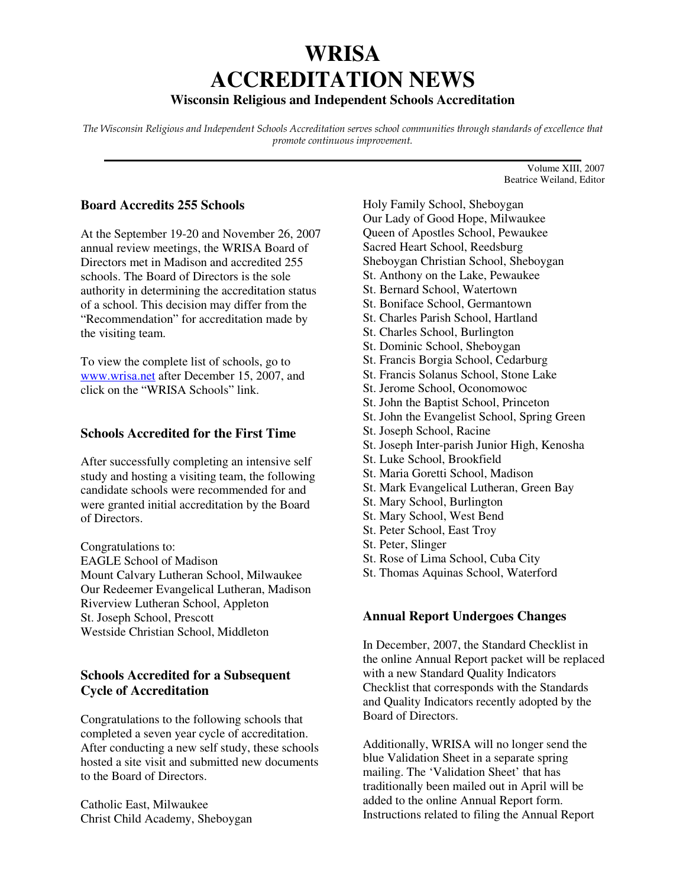# **WRISA ACCREDITATION NEWS**

## **Wisconsin Religious and Independent Schools Accreditation**

The Wisconsin Religious and Independent Schools Accreditation serves school communities through standards of excellence that promote continuous improvement. **\_\_\_\_\_\_\_\_\_\_\_\_\_\_\_\_\_\_\_\_\_\_\_\_\_\_\_\_\_\_\_\_\_\_\_\_\_\_\_\_\_\_\_\_\_\_\_\_\_\_\_\_\_\_\_\_\_\_\_\_\_\_\_\_\_\_\_\_\_\_\_**

## **Board Accredits 255 Schools**

At the September 19-20 and November 26, 2007 annual review meetings, the WRISA Board of Directors met in Madison and accredited 255 schools. The Board of Directors is the sole authority in determining the accreditation status of a school. This decision may differ from the "Recommendation" for accreditation made by the visiting team.

To view the complete list of schools, go to www.wrisa.net after December 15, 2007, and click on the "WRISA Schools" link.

#### **Schools Accredited for the First Time**

After successfully completing an intensive self study and hosting a visiting team, the following candidate schools were recommended for and were granted initial accreditation by the Board of Directors.

Congratulations to: EAGLE School of Madison Mount Calvary Lutheran School, Milwaukee Our Redeemer Evangelical Lutheran, Madison Riverview Lutheran School, Appleton St. Joseph School, Prescott Westside Christian School, Middleton

## **Schools Accredited for a Subsequent Cycle of Accreditation**

Congratulations to the following schools that completed a seven year cycle of accreditation. After conducting a new self study, these schools hosted a site visit and submitted new documents to the Board of Directors.

Catholic East, Milwaukee Christ Child Academy, Sheboygan Holy Family School, Sheboygan Our Lady of Good Hope, Milwaukee Queen of Apostles School, Pewaukee Sacred Heart School, Reedsburg Sheboygan Christian School, Sheboygan St. Anthony on the Lake, Pewaukee St. Bernard School, Watertown St. Boniface School, Germantown St. Charles Parish School, Hartland St. Charles School, Burlington St. Dominic School, Sheboygan St. Francis Borgia School, Cedarburg St. Francis Solanus School, Stone Lake St. Jerome School, Oconomowoc St. John the Baptist School, Princeton St. John the Evangelist School, Spring Green St. Joseph School, Racine

Volume XIII, 2007 Beatrice Weiland, Editor

- St. Joseph Inter-parish Junior High, Kenosha
- St. Luke School, Brookfield
- St. Maria Goretti School, Madison
- St. Mark Evangelical Lutheran, Green Bay
- St. Mary School, Burlington
- St. Mary School, West Bend
- St. Peter School, East Troy
- St. Peter, Slinger
- St. Rose of Lima School, Cuba City
- St. Thomas Aquinas School, Waterford

#### **Annual Report Undergoes Changes**

In December, 2007, the Standard Checklist in the online Annual Report packet will be replaced with a new Standard Quality Indicators Checklist that corresponds with the Standards and Quality Indicators recently adopted by the Board of Directors.

Additionally, WRISA will no longer send the blue Validation Sheet in a separate spring mailing. The 'Validation Sheet' that has traditionally been mailed out in April will be added to the online Annual Report form. Instructions related to filing the Annual Report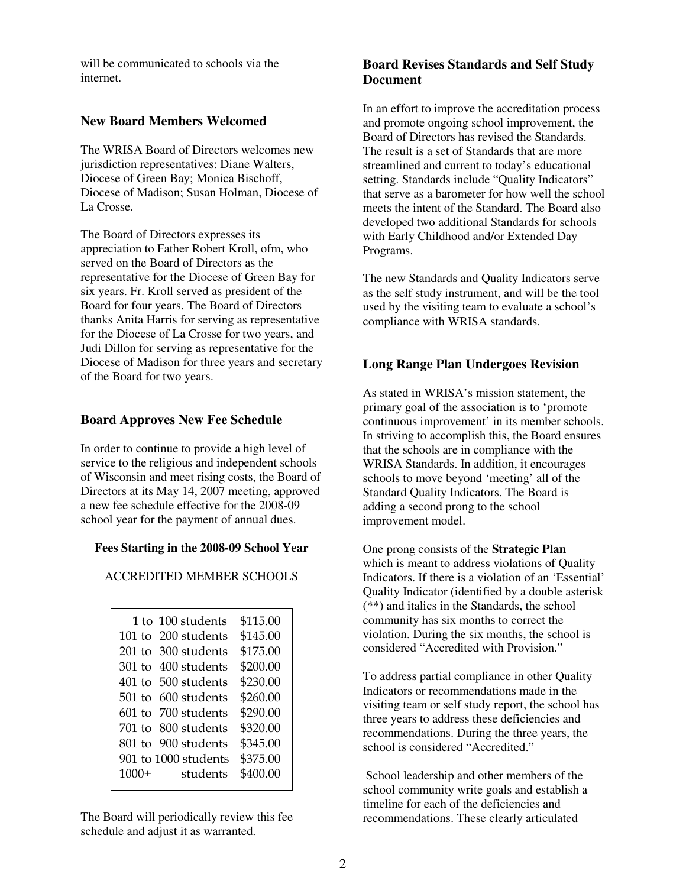will be communicated to schools via the internet.

#### **New Board Members Welcomed**

The WRISA Board of Directors welcomes new jurisdiction representatives: Diane Walters, Diocese of Green Bay; Monica Bischoff, Diocese of Madison; Susan Holman, Diocese of La Crosse.

The Board of Directors expresses its appreciation to Father Robert Kroll, ofm, who served on the Board of Directors as the representative for the Diocese of Green Bay for six years. Fr. Kroll served as president of the Board for four years. The Board of Directors thanks Anita Harris for serving as representative for the Diocese of La Crosse for two years, and Judi Dillon for serving as representative for the Diocese of Madison for three years and secretary of the Board for two years.

## **Board Approves New Fee Schedule**

In order to continue to provide a high level of service to the religious and independent schools of Wisconsin and meet rising costs, the Board of Directors at its May 14, 2007 meeting, approved a new fee schedule effective for the 2008-09 school year for the payment of annual dues.

#### **Fees Starting in the 2008-09 School Year**

## ACCREDITED MEMBER SCHOOLS

|         | 1 to 100 students    | \$115.00 |
|---------|----------------------|----------|
|         | 101 to 200 students  | \$145.00 |
|         | 201 to 300 students  | \$175.00 |
|         | 301 to 400 students  | \$200.00 |
|         | 401 to 500 students  | \$230.00 |
|         | 501 to 600 students  | \$260.00 |
|         | 601 to 700 students  | \$290.00 |
|         | 701 to 800 students  | \$320.00 |
|         | 801 to 900 students  | \$345.00 |
|         | 901 to 1000 students | \$375.00 |
| $1000+$ | students             | \$400.00 |
|         |                      |          |

The Board will periodically review this fee schedule and adjust it as warranted.

## **Board Revises Standards and Self Study Document**

In an effort to improve the accreditation process and promote ongoing school improvement, the Board of Directors has revised the Standards. The result is a set of Standards that are more streamlined and current to today's educational setting. Standards include "Quality Indicators" that serve as a barometer for how well the school meets the intent of the Standard. The Board also developed two additional Standards for schools with Early Childhood and/or Extended Day Programs.

The new Standards and Quality Indicators serve as the self study instrument, and will be the tool used by the visiting team to evaluate a school's compliance with WRISA standards.

## **Long Range Plan Undergoes Revision**

As stated in WRISA's mission statement, the primary goal of the association is to 'promote continuous improvement' in its member schools. In striving to accomplish this, the Board ensures that the schools are in compliance with the WRISA Standards. In addition, it encourages schools to move beyond 'meeting' all of the Standard Quality Indicators. The Board is adding a second prong to the school improvement model.

One prong consists of the **Strategic Plan**  which is meant to address violations of Quality Indicators. If there is a violation of an 'Essential' Quality Indicator (identified by a double asterisk (\*\*) and italics in the Standards, the school community has six months to correct the violation. During the six months, the school is considered "Accredited with Provision."

To address partial compliance in other Quality Indicators or recommendations made in the visiting team or self study report, the school has three years to address these deficiencies and recommendations. During the three years, the school is considered "Accredited."

 School leadership and other members of the school community write goals and establish a timeline for each of the deficiencies and recommendations. These clearly articulated